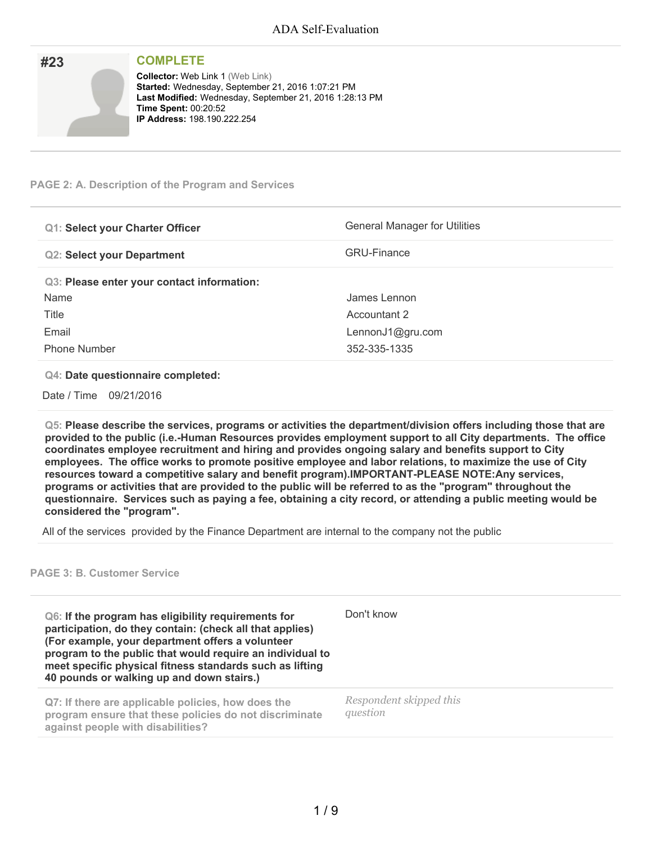| #23 | <b>COMPLETE</b>                                                                                                                                                                                                              |
|-----|------------------------------------------------------------------------------------------------------------------------------------------------------------------------------------------------------------------------------|
|     | <b>Collector: Web Link 1 (Web Link)</b><br>Started: Wednesday, September 21, 2016 1:07:21 PM<br>Last Modified: Wednesday, September 21, 2016 1:28:13 PM<br><b>Time Spent: 00:20:52</b><br><b>IP Address: 198.190.222.254</b> |

### **PAGE 2: A. Description of the Program and Services**

| <b>Q1: Select your Charter Officer</b>     | <b>General Manager for Utilities</b> |
|--------------------------------------------|--------------------------------------|
| <b>Q2: Select your Department</b>          | <b>GRU-Finance</b>                   |
| Q3: Please enter your contact information: |                                      |
| Name                                       | James Lennon                         |
| Title                                      | Accountant 2                         |
| Email                                      | LennonJ1@gru.com                     |
| <b>Phone Number</b>                        | 352-335-1335                         |

#### **Q4: Date questionnaire completed:**

Date / Time 09/21/2016

**Q5: Please describe the services, programs or activities the department/division offers including those that are provided to the public (i.e.-Human Resources provides employment support to all City departments. The office coordinates employee recruitment and hiring and provides ongoing salary and benefits support to City employees. The office works to promote positive employee and labor relations, to maximize the use of City resources toward a competitive salary and benefit program).IMPORTANT-PLEASE NOTE:Any services,** programs or activities that are provided to the public will be referred to as the "program" throughout the questionnaire. Services such as paying a fee, obtaining a city record, or attending a public meeting would be **considered the "program".**

All of the services provided by the Finance Department are internal to the company not the public

#### **PAGE 3: B. Customer Service**

**Q6: If the program has eligibility requirements for participation, do they contain: (check all that applies) (For example, your department offers a volunteer program to the public that would require an individual to meet specific physical fitness standards such as lifting 40 pounds or walking up and down stairs.)** Don't know **Q7: If there are applicable policies, how does the program ensure that these policies do not discriminate against people with disabilities?** *Respondent skipped this question*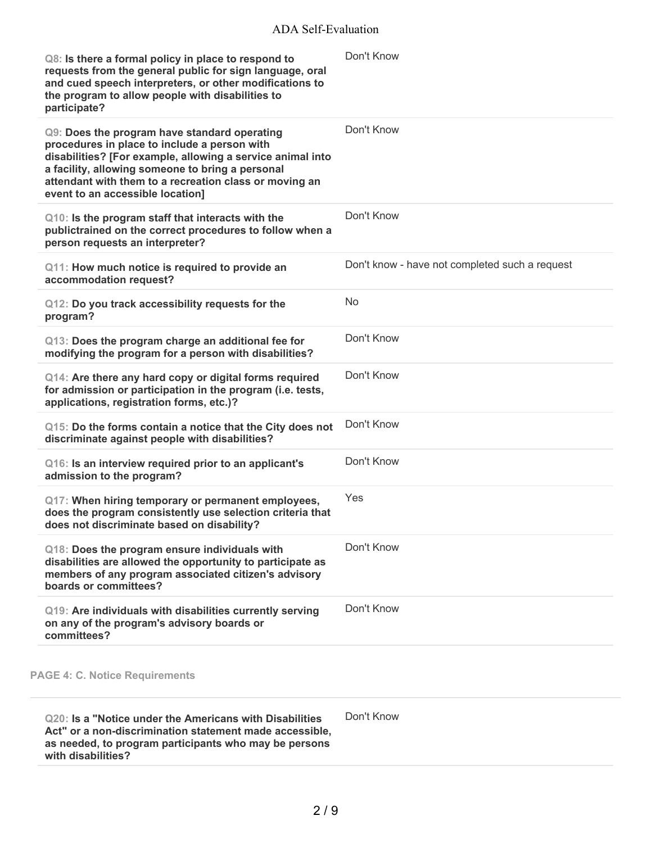| Q8: Is there a formal policy in place to respond to<br>requests from the general public for sign language, oral<br>and cued speech interpreters, or other modifications to<br>the program to allow people with disabilities to<br>participate?                                                               | Don't Know                                     |
|--------------------------------------------------------------------------------------------------------------------------------------------------------------------------------------------------------------------------------------------------------------------------------------------------------------|------------------------------------------------|
| Q9: Does the program have standard operating<br>procedures in place to include a person with<br>disabilities? [For example, allowing a service animal into<br>a facility, allowing someone to bring a personal<br>attendant with them to a recreation class or moving an<br>event to an accessible location] | Don't Know                                     |
| Q10: Is the program staff that interacts with the<br>publictrained on the correct procedures to follow when a<br>person requests an interpreter?                                                                                                                                                             | Don't Know                                     |
| Q11: How much notice is required to provide an<br>accommodation request?                                                                                                                                                                                                                                     | Don't know - have not completed such a request |
| Q12: Do you track accessibility requests for the<br>program?                                                                                                                                                                                                                                                 | <b>No</b>                                      |
| Q13: Does the program charge an additional fee for<br>modifying the program for a person with disabilities?                                                                                                                                                                                                  | Don't Know                                     |
| Q14: Are there any hard copy or digital forms required<br>for admission or participation in the program (i.e. tests,<br>applications, registration forms, etc.)?                                                                                                                                             | Don't Know                                     |
| Q15: Do the forms contain a notice that the City does not<br>discriminate against people with disabilities?                                                                                                                                                                                                  | Don't Know                                     |
| Q16: Is an interview required prior to an applicant's<br>admission to the program?                                                                                                                                                                                                                           | Don't Know                                     |
| Q17: When hiring temporary or permanent employees,<br>does the program consistently use selection criteria that<br>does not discriminate based on disability?                                                                                                                                                | Yes                                            |
| Q18: Does the program ensure individuals with<br>disabilities are allowed the opportunity to participate as<br>members of any program associated citizen's advisory<br>boards or committees?                                                                                                                 | Don't Know                                     |
| Q19: Are individuals with disabilities currently serving<br>on any of the program's advisory boards or<br>committees?                                                                                                                                                                                        | Don't Know                                     |

**Q20: Is a "Notice under the Americans with Disabilities Act" or a non-discrimination statement made accessible, as needed, to program participants who may be persons with disabilities?** Don't Know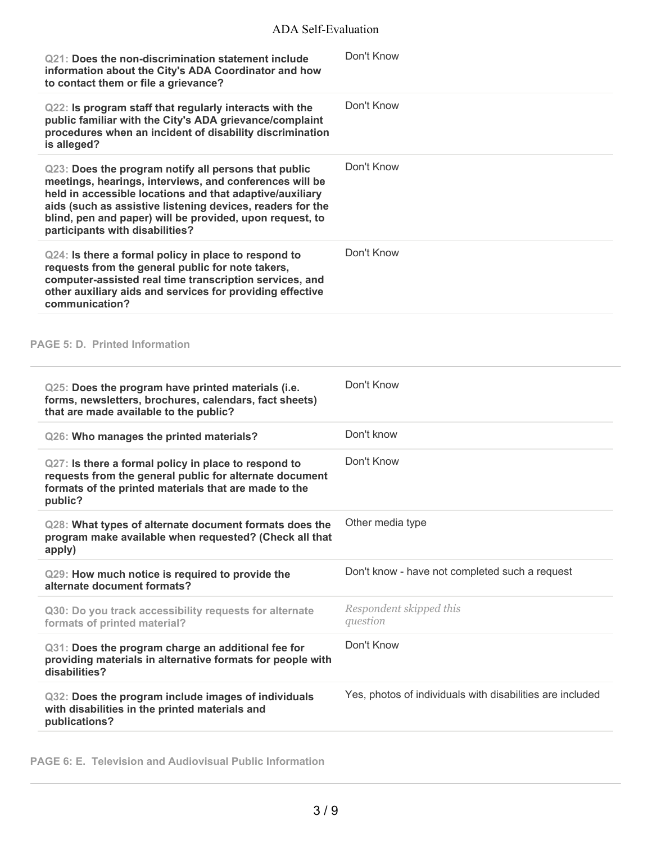| Q21: Does the non-discrimination statement include<br>information about the City's ADA Coordinator and how<br>to contact them or file a grievance?                                                                                                                                                                                       | Don't Know                                                |
|------------------------------------------------------------------------------------------------------------------------------------------------------------------------------------------------------------------------------------------------------------------------------------------------------------------------------------------|-----------------------------------------------------------|
| Q22: Is program staff that regularly interacts with the<br>public familiar with the City's ADA grievance/complaint<br>procedures when an incident of disability discrimination<br>is alleged?                                                                                                                                            | Don't Know                                                |
| Q23: Does the program notify all persons that public<br>meetings, hearings, interviews, and conferences will be<br>held in accessible locations and that adaptive/auxiliary<br>aids (such as assistive listening devices, readers for the<br>blind, pen and paper) will be provided, upon request, to<br>participants with disabilities? | Don't Know                                                |
| Q24: Is there a formal policy in place to respond to<br>requests from the general public for note takers,<br>computer-assisted real time transcription services, and<br>other auxiliary aids and services for providing effective<br>communication?                                                                                      | Don't Know                                                |
| <b>PAGE 5: D. Printed Information</b>                                                                                                                                                                                                                                                                                                    |                                                           |
| Q25: Does the program have printed materials (i.e.<br>forms, newsletters, brochures, calendars, fact sheets)<br>that are made available to the public?                                                                                                                                                                                   | Don't Know                                                |
| Q26: Who manages the printed materials?                                                                                                                                                                                                                                                                                                  | Don't know                                                |
| Q27: Is there a formal policy in place to respond to<br>requests from the general public for alternate document<br>formats of the printed materials that are made to the<br>public?                                                                                                                                                      | Don't Know                                                |
| Q28: What types of alternate document formats does the Other media type<br>program make available when requested? (Check all that<br>apply)                                                                                                                                                                                              |                                                           |
| Q29: How much notice is required to provide the<br>alternate document formats?                                                                                                                                                                                                                                                           | Don't know - have not completed such a request            |
| Q30: Do you track accessibility requests for alternate<br>formats of printed material?                                                                                                                                                                                                                                                   | Respondent skipped this<br>question                       |
| Q31: Does the program charge an additional fee for<br>providing materials in alternative formats for people with<br>disabilities?                                                                                                                                                                                                        | Don't Know                                                |
| Q32: Does the program include images of individuals<br>with disabilities in the printed materials and<br>publications?                                                                                                                                                                                                                   | Yes, photos of individuals with disabilities are included |

**PAGE 6: E. Television and Audiovisual Public Information**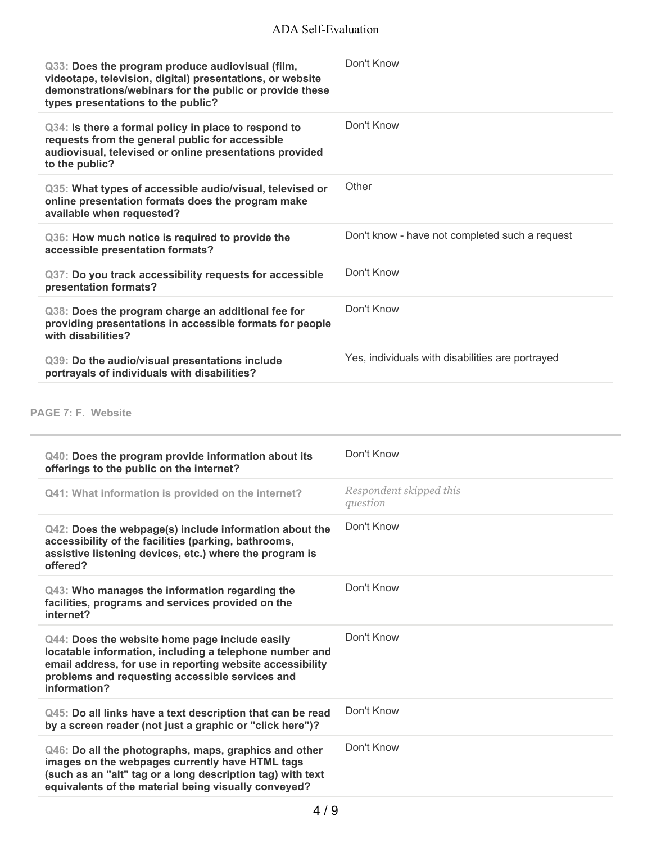| Q33: Does the program produce audiovisual (film,<br>videotape, television, digital) presentations, or website<br>demonstrations/webinars for the public or provide these<br>types presentations to the public? | Don't Know                                     |
|----------------------------------------------------------------------------------------------------------------------------------------------------------------------------------------------------------------|------------------------------------------------|
| Q34: Is there a formal policy in place to respond to<br>requests from the general public for accessible<br>audiovisual, televised or online presentations provided<br>to the public?                           | Don't Know                                     |
| Q35: What types of accessible audio/visual, televised or<br>online presentation formats does the program make<br>available when requested?                                                                     | Other                                          |
|                                                                                                                                                                                                                |                                                |
| Q36: How much notice is required to provide the<br>accessible presentation formats?                                                                                                                            | Don't know - have not completed such a request |
| Q37: Do you track accessibility requests for accessible<br>presentation formats?                                                                                                                               | Don't Know                                     |
| Q38: Does the program charge an additional fee for<br>providing presentations in accessible formats for people<br>with disabilities?                                                                           | Don't Know                                     |

## **PAGE 7: F. Website**

| Q40: Does the program provide information about its<br>offerings to the public on the internet?                                                                                                                                           | Don't Know                          |
|-------------------------------------------------------------------------------------------------------------------------------------------------------------------------------------------------------------------------------------------|-------------------------------------|
| Q41: What information is provided on the internet?                                                                                                                                                                                        | Respondent skipped this<br>question |
| Q42: Does the webpage(s) include information about the<br>accessibility of the facilities (parking, bathrooms,<br>assistive listening devices, etc.) where the program is<br>offered?                                                     | Don't Know                          |
| Q43: Who manages the information regarding the<br>facilities, programs and services provided on the<br>internet?                                                                                                                          | Don't Know                          |
| Q44: Does the website home page include easily<br>locatable information, including a telephone number and<br>email address, for use in reporting website accessibility<br>problems and requesting accessible services and<br>information? | Don't Know                          |
| Q45: Do all links have a text description that can be read<br>by a screen reader (not just a graphic or "click here")?                                                                                                                    | Don't Know                          |
| Q46: Do all the photographs, maps, graphics and other<br>images on the webpages currently have HTML tags<br>(such as an "alt" tag or a long description tag) with text<br>equivalents of the material being visually conveyed?            | Don't Know                          |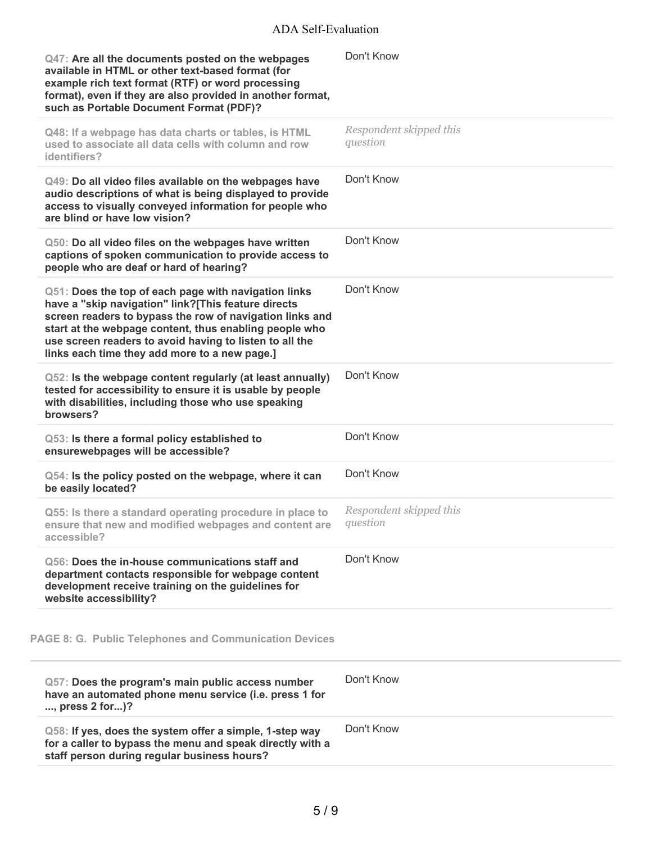| Q47: Are all the documents posted on the webpages<br>available in HTML or other text-based format (for<br>example rich text format (RTF) or word processing<br>format), even if they are also provided in another format,<br>such as Portable Document Format (PDF)?                                                                          | Don't Know                          |
|-----------------------------------------------------------------------------------------------------------------------------------------------------------------------------------------------------------------------------------------------------------------------------------------------------------------------------------------------|-------------------------------------|
| Q48: If a webpage has data charts or tables, is HTML<br>used to associate all data cells with column and row<br>identifiers?                                                                                                                                                                                                                  | Respondent skipped this<br>question |
| Q49: Do all video files available on the webpages have<br>audio descriptions of what is being displayed to provide<br>access to visually conveyed information for people who<br>are blind or have low vision?                                                                                                                                 | Don't Know                          |
| Q50: Do all video files on the webpages have written<br>captions of spoken communication to provide access to<br>people who are deaf or hard of hearing?                                                                                                                                                                                      | Don't Know                          |
| Q51: Does the top of each page with navigation links<br>have a "skip navigation" link?[This feature directs<br>screen readers to bypass the row of navigation links and<br>start at the webpage content, thus enabling people who<br>use screen readers to avoid having to listen to all the<br>links each time they add more to a new page.] | Don't Know                          |
| Q52: Is the webpage content regularly (at least annually)<br>tested for accessibility to ensure it is usable by people<br>with disabilities, including those who use speaking<br>browsers?                                                                                                                                                    | Don't Know                          |
| Q53: Is there a formal policy established to<br>ensurewebpages will be accessible?                                                                                                                                                                                                                                                            | Don't Know                          |
| Q54: Is the policy posted on the webpage, where it can<br>be easily located?                                                                                                                                                                                                                                                                  | Don't Know                          |
| Q55: Is there a standard operating procedure in place to<br>ensure that new and modified webpages and content are<br>accessible?                                                                                                                                                                                                              | Respondent skipped this<br>question |
| Q56: Does the in-house communications staff and<br>department contacts responsible for webpage content<br>development receive training on the guidelines for<br>website accessibility?                                                                                                                                                        | Don't Know                          |
| <b>PAGE 8: G. Public Telephones and Communication Devices</b>                                                                                                                                                                                                                                                                                 |                                     |
| Q57: Does the program's main public access number<br>have an automated phone menu service (i.e. press 1 for<br>, press 2 for)?                                                                                                                                                                                                                | Don't Know                          |
| Q58: If yes, does the system offer a simple, 1-step way<br>for a caller to bypass the menu and speak directly with a<br>staff person during regular business hours?                                                                                                                                                                           | Don't Know                          |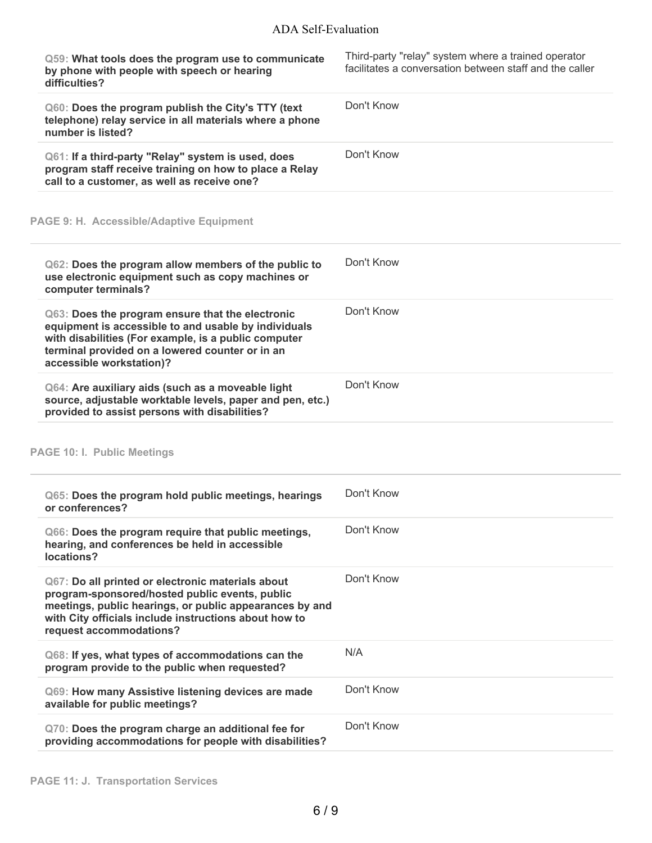| Q59: What tools does the program use to communicate<br>by phone with people with speech or hearing<br>difficulties?                                                                                                                                | Third-party "relay" system where a trained operator<br>facilitates a conversation between staff and the caller |
|----------------------------------------------------------------------------------------------------------------------------------------------------------------------------------------------------------------------------------------------------|----------------------------------------------------------------------------------------------------------------|
| Q60: Does the program publish the City's TTY (text<br>telephone) relay service in all materials where a phone<br>number is listed?                                                                                                                 | Don't Know                                                                                                     |
| Q61: If a third-party "Relay" system is used, does<br>program staff receive training on how to place a Relay<br>call to a customer, as well as receive one?                                                                                        | Don't Know                                                                                                     |
| PAGE 9: H. Accessible/Adaptive Equipment                                                                                                                                                                                                           |                                                                                                                |
| Q62: Does the program allow members of the public to<br>use electronic equipment such as copy machines or<br>computer terminals?                                                                                                                   | Don't Know                                                                                                     |
| Q63: Does the program ensure that the electronic<br>equipment is accessible to and usable by individuals<br>with disabilities (For example, is a public computer<br>terminal provided on a lowered counter or in an<br>accessible workstation)?    | Don't Know                                                                                                     |
| Q64: Are auxiliary aids (such as a moveable light<br>source, adjustable worktable levels, paper and pen, etc.)<br>provided to assist persons with disabilities?                                                                                    | Don't Know                                                                                                     |
| <b>PAGE 10: I. Public Meetings</b>                                                                                                                                                                                                                 |                                                                                                                |
| Q65: Does the program hold public meetings, hearings<br>or conferences?                                                                                                                                                                            | Don't Know                                                                                                     |
| Q66: Does the program require that public meetings,<br>hearing, and conferences be held in accessible<br>locations?                                                                                                                                | Don't Know                                                                                                     |
| Q67: Do all printed or electronic materials about<br>program-sponsored/hosted public events, public<br>meetings, public hearings, or public appearances by and<br>with City officials include instructions about how to<br>request accommodations? | Don't Know                                                                                                     |
| Q68: If yes, what types of accommodations can the<br>program provide to the public when requested?                                                                                                                                                 | N/A                                                                                                            |
| Q69: How many Assistive listening devices are made<br>available for public meetings?                                                                                                                                                               | Don't Know                                                                                                     |
| Q70: Does the program charge an additional fee for<br>providing accommodations for people with disabilities?                                                                                                                                       | Don't Know                                                                                                     |

j.

÷.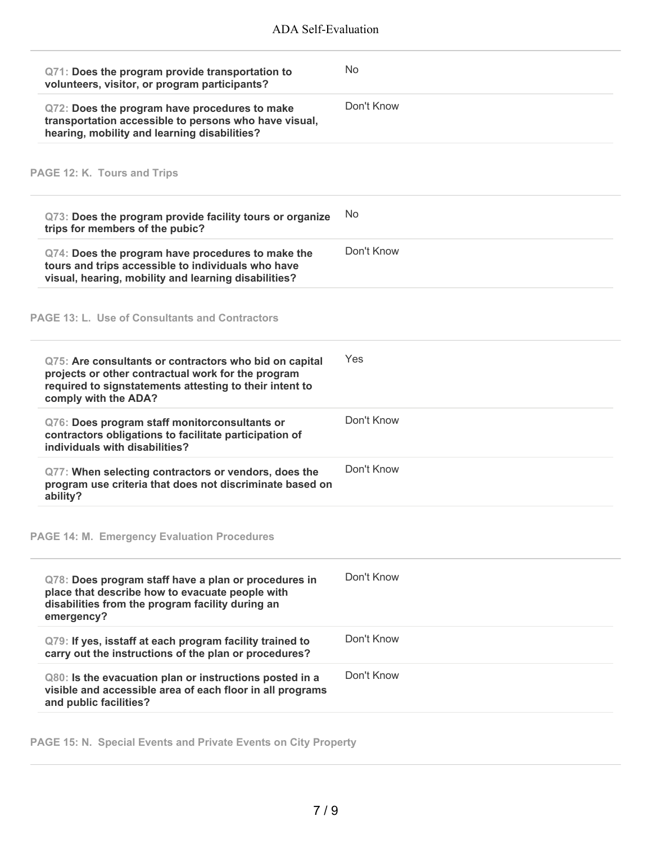| Q71: Does the program provide transportation to<br>volunteers, visitor, or program participants?                                                                                                | No         |
|-------------------------------------------------------------------------------------------------------------------------------------------------------------------------------------------------|------------|
| Q72: Does the program have procedures to make<br>transportation accessible to persons who have visual,<br>hearing, mobility and learning disabilities?                                          | Don't Know |
| PAGE 12: K. Tours and Trips                                                                                                                                                                     |            |
| Q73: Does the program provide facility tours or organize<br>trips for members of the pubic?                                                                                                     | No         |
| Q74: Does the program have procedures to make the<br>tours and trips accessible to individuals who have<br>visual, hearing, mobility and learning disabilities?                                 | Don't Know |
| <b>PAGE 13: L. Use of Consultants and Contractors</b>                                                                                                                                           |            |
| Q75: Are consultants or contractors who bid on capital<br>projects or other contractual work for the program<br>required to signstatements attesting to their intent to<br>comply with the ADA? | Yes        |
| Q76: Does program staff monitorconsultants or<br>contractors obligations to facilitate participation of<br>individuals with disabilities?                                                       | Don't Know |
| Q77: When selecting contractors or vendors, does the<br>program use criteria that does not discriminate based on<br>ability?                                                                    | Don't Know |
| <b>PAGE 14: M. Emergency Evaluation Procedures</b>                                                                                                                                              |            |
| Q78: Does program staff have a plan or procedures in<br>place that describe how to evacuate people with<br>disabilities from the program facility during an<br>emergency?                       | Don't Know |
| Q79: If yes, isstaff at each program facility trained to<br>carry out the instructions of the plan or procedures?                                                                               | Don't Know |
| Q80: Is the evacuation plan or instructions posted in a<br>visible and accessible area of each floor in all programs<br>and public facilities?                                                  | Don't Know |

**PAGE 15: N. Special Events and Private Events on City Property**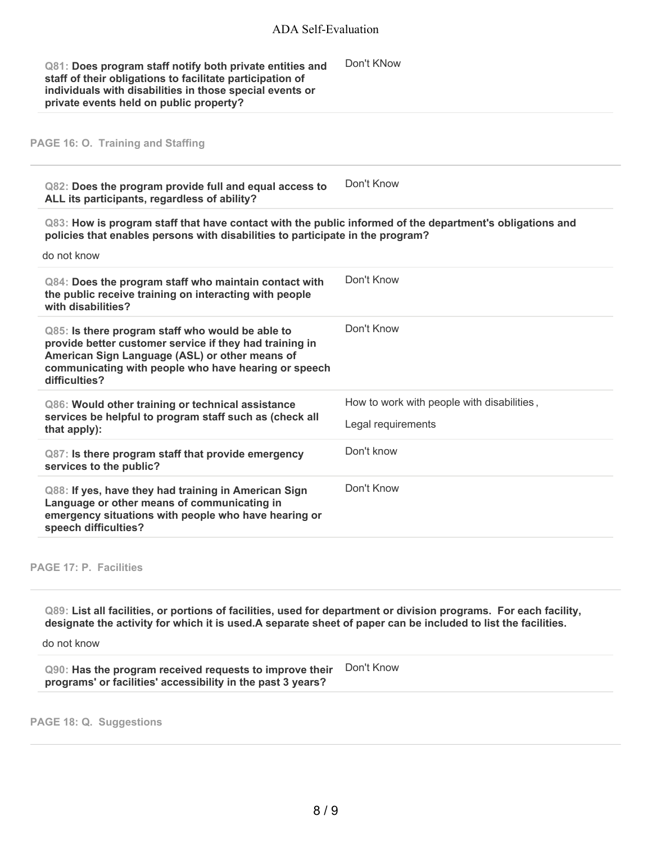| Q81: Does program staff notify both private entities and  | Don't KNow |
|-----------------------------------------------------------|------------|
| staff of their obligations to facilitate participation of |            |
| individuals with disabilities in those special events or  |            |
| private events held on public property?                   |            |

### **PAGE 16: O. Training and Staffing**

**Q82: Does the program provide full and equal access to ALL its participants, regardless of ability?** Don't Know

**Q83: How is program staff that have contact with the public informed of the department's obligations and policies that enables persons with disabilities to participate in the program?**

do not know

| $Q84$ : Does the program staff who maintain contact with<br>the public receive training on interacting with people<br>with disabilities?                                                                                               | Don't Know                                 |
|----------------------------------------------------------------------------------------------------------------------------------------------------------------------------------------------------------------------------------------|--------------------------------------------|
| Q85: Is there program staff who would be able to<br>provide better customer service if they had training in<br>American Sign Language (ASL) or other means of<br>communicating with people who have hearing or speech<br>difficulties? | Don't Know                                 |
| Q86: Would other training or technical assistance<br>services be helpful to program staff such as (check all<br>that apply):                                                                                                           | How to work with people with disabilities. |
|                                                                                                                                                                                                                                        | Legal requirements                         |
| $Q87$ : Is there program staff that provide emergency<br>services to the public?                                                                                                                                                       | Don't know                                 |
| Q88: If yes, have they had training in American Sign<br>Language or other means of communicating in<br>emergency situations with people who have hearing or<br>speech difficulties?                                                    | Don't Know                                 |

#### **PAGE 17: P. Facilities**

Q89: List all facilities, or portions of facilities, used for department or division programs. For each facility, designate the activity for which it is used.A separate sheet of paper can be included to list the facilities.

do not know

**Q90: Has the program received requests to improve their programs' or facilities' accessibility in the past 3 years?** Don't Know

**PAGE 18: Q. Suggestions**